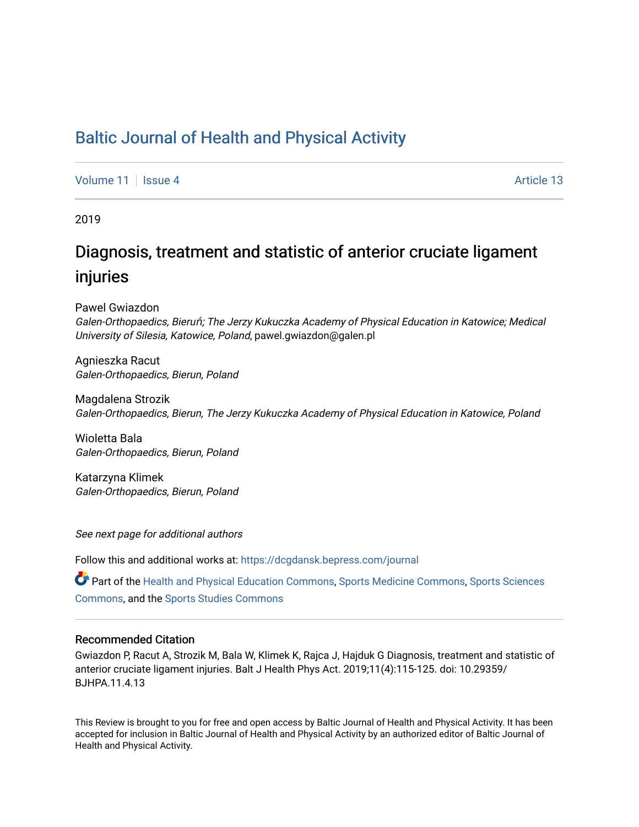# [Baltic Journal of Health and Physical Activity](https://dcgdansk.bepress.com/journal)

[Volume 11](https://dcgdansk.bepress.com/journal/vol11) | [Issue 4](https://dcgdansk.bepress.com/journal/vol11/iss4) Article 13

2019

# Diagnosis, treatment and statistic of anterior cruciate ligament injuries

Pawel Gwiazdon Galen-Orthopaedics, Bieruń; The Jerzy Kukuczka Academy of Physical Education in Katowice; Medical University of Silesia, Katowice, Poland, pawel.gwiazdon@galen.pl

Agnieszka Racut Galen-Orthopaedics, Bierun, Poland

Magdalena Strozik Galen-Orthopaedics, Bierun, The Jerzy Kukuczka Academy of Physical Education in Katowice, Poland

Wioletta Bala Galen-Orthopaedics, Bierun, Poland

Katarzyna Klimek Galen-Orthopaedics, Bierun, Poland

See next page for additional authors

Follow this and additional works at: [https://dcgdansk.bepress.com/journal](https://dcgdansk.bepress.com/journal?utm_source=dcgdansk.bepress.com%2Fjournal%2Fvol11%2Fiss4%2F13&utm_medium=PDF&utm_campaign=PDFCoverPages)

Part of the [Health and Physical Education Commons](http://network.bepress.com/hgg/discipline/1327?utm_source=dcgdansk.bepress.com%2Fjournal%2Fvol11%2Fiss4%2F13&utm_medium=PDF&utm_campaign=PDFCoverPages), [Sports Medicine Commons,](http://network.bepress.com/hgg/discipline/1331?utm_source=dcgdansk.bepress.com%2Fjournal%2Fvol11%2Fiss4%2F13&utm_medium=PDF&utm_campaign=PDFCoverPages) [Sports Sciences](http://network.bepress.com/hgg/discipline/759?utm_source=dcgdansk.bepress.com%2Fjournal%2Fvol11%2Fiss4%2F13&utm_medium=PDF&utm_campaign=PDFCoverPages) [Commons](http://network.bepress.com/hgg/discipline/759?utm_source=dcgdansk.bepress.com%2Fjournal%2Fvol11%2Fiss4%2F13&utm_medium=PDF&utm_campaign=PDFCoverPages), and the [Sports Studies Commons](http://network.bepress.com/hgg/discipline/1198?utm_source=dcgdansk.bepress.com%2Fjournal%2Fvol11%2Fiss4%2F13&utm_medium=PDF&utm_campaign=PDFCoverPages) 

#### Recommended Citation

Gwiazdon P, Racut A, Strozik M, Bala W, Klimek K, Rajca J, Hajduk G Diagnosis, treatment and statistic of anterior cruciate ligament injuries. Balt J Health Phys Act. 2019;11(4):115-125. doi: 10.29359/ BJHPA.11.4.13

This Review is brought to you for free and open access by Baltic Journal of Health and Physical Activity. It has been accepted for inclusion in Baltic Journal of Health and Physical Activity by an authorized editor of Baltic Journal of Health and Physical Activity.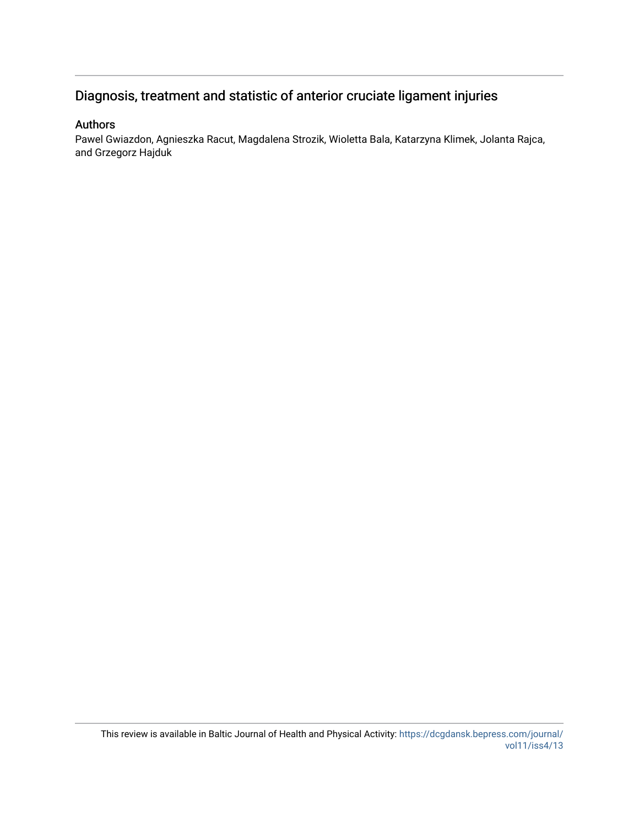# Diagnosis, treatment and statistic of anterior cruciate ligament injuries

#### Authors

Pawel Gwiazdon, Agnieszka Racut, Magdalena Strozik, Wioletta Bala, Katarzyna Klimek, Jolanta Rajca, and Grzegorz Hajduk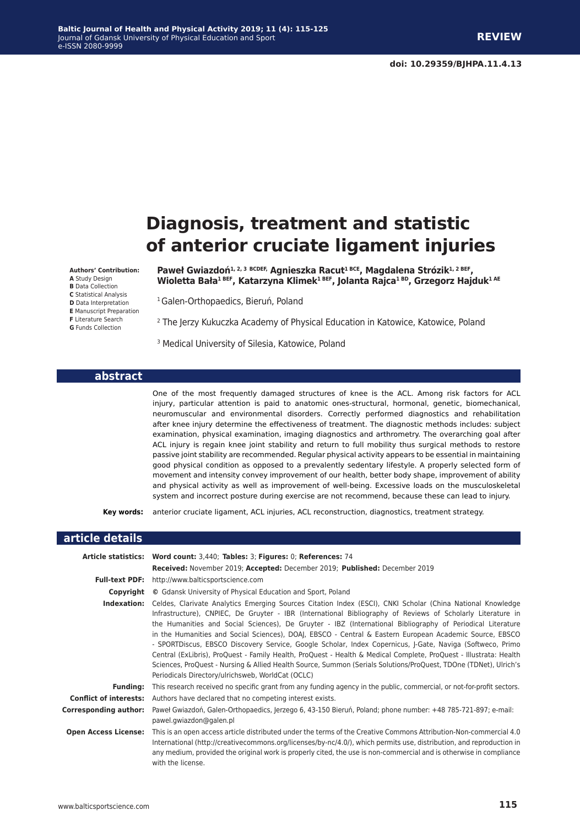# **Diagnosis, treatment and statistic of anterior cruciate ligament injuries**

**Authors' Contribution: A** Study Design **B** Data Collection **C** Statistical Analysis **D** Data Interpretation **E** Manuscript Preparation **F** Literature Search **G** Funds Collection

Paweł Gwiazdoń<sup>1, 2, 3 BCDEF, Agnieszka Racut<sup>1 BCE</sup>, Magdalena Strózik<sup>1, 2 BEF</sup>,</sup> **Wioletta Bała1 BEF, Katarzyna Klimek1 BEF, Jolanta Rajca1 BD, Grzegorz Hajduk1 AE**

<sup>1</sup> Galen-Orthopaedics, Bieruń, Poland

2 The Jerzy Kukuczka Academy of Physical Education in Katowice, Katowice, Poland

3 Medical University of Silesia, Katowice, Poland

#### **abstract**

One of the most frequently damaged structures of knee is the ACL. Among risk factors for ACL injury, particular attention is paid to anatomic ones-structural, hormonal, genetic, biomechanical, neuromuscular and environmental disorders. Correctly performed diagnostics and rehabilitation after knee injury determine the effectiveness of treatment. The diagnostic methods includes: subject examination, physical examination, imaging diagnostics and arthrometry. The overarching goal after ACL injury is regain knee joint stability and return to full mobility thus surgical methods to restore passive joint stability are recommended. Regular physical activity appears to be essential in maintaining good physical condition as opposed to a prevalently sedentary lifestyle. A properly selected form of movement and intensity convey improvement of our health, better body shape, improvement of ability and physical activity as well as improvement of well-being. Excessive loads on the musculoskeletal system and incorrect posture during exercise are not recommend, because these can lead to injury.

**Key words:** anterior cruciate ligament, ACL injuries, ACL reconstruction, diagnostics, treatment strategy.

#### **article details Article statistics: Word count:** 3,440; **Tables:** 3; **Figures:** 0; **References:** 74 **Received:** November 2019; **Accepted:** December 2019; **Published:** December 2019 **Full-text PDF:** http://www.balticsportscience.com **Copyright ©** Gdansk University of Physical Education and Sport, Poland **Indexation:** Celdes, Clarivate Analytics Emerging Sources Citation Index (ESCI), CNKI Scholar (China National Knowledge Infrastructure), CNPIEC, De Gruyter - IBR (International Bibliography of Reviews of Scholarly Literature in the Humanities and Social Sciences), De Gruyter - IBZ (International Bibliography of Periodical Literature in the Humanities and Social Sciences), DOAJ, EBSCO - Central & Eastern European Academic Source, EBSCO - SPORTDiscus, EBSCO Discovery Service, Google Scholar, Index Copernicus, J-Gate, Naviga (Softweco, Primo Central (ExLibris), ProQuest - Family Health, ProQuest - Health & Medical Complete, ProQuest - Illustrata: Health Sciences, ProQuest - Nursing & Allied Health Source, Summon (Serials Solutions/ProQuest, TDOne (TDNet), Ulrich's Periodicals Directory/ulrichsweb, WorldCat (OCLC) **Funding:** This research received no specific grant from any funding agency in the public, commercial, or not-for-profit sectors. **Conflict of interests:** Authors have declared that no competing interest exists. **Corresponding author:** Paweł Gwiazdoń, Galen-Orthopaedics, Jerzego 6, 43-150 Bieruń, Poland; phone number: +48 785-721-897; e-mail: pawel.gwiazdon@galen.pl **Open Access License:** This is an open access article distributed under the terms of the Creative Commons Attribution-Non-commercial 4.0 International (http://creativecommons.org/licenses/by-nc/4.0/), which permits use, distribution, and reproduction in any medium, provided the original work is properly cited, the use is non-commercial and is otherwise in compliance with the license.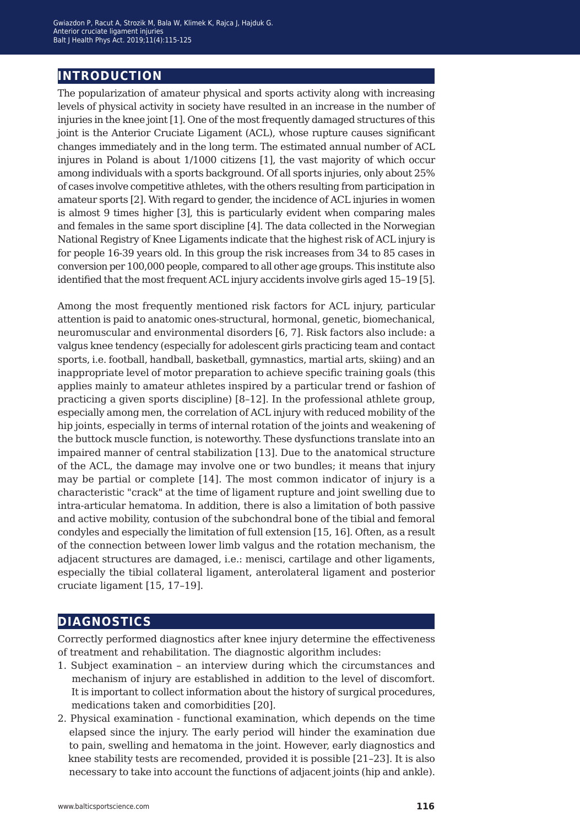## **introduction**

The popularization of amateur physical and sports activity along with increasing levels of physical activity in society have resulted in an increase in the number of injuries in the knee joint [1]. One of the most frequently damaged structures of this joint is the Anterior Cruciate Ligament (ACL), whose rupture causes significant changes immediately and in the long term. The estimated annual number of ACL injures in Poland is about 1/1000 citizens [1], the vast majority of which occur among individuals with a sports background. Of all sports injuries, only about 25% of cases involve competitive athletes, with the others resulting from participation in amateur sports [2]. With regard to gender, the incidence of ACL injuries in women is almost 9 times higher [3], this is particularly evident when comparing males and females in the same sport discipline [4]. The data collected in the Norwegian National Registry of Knee Ligaments indicate that the highest risk of ACL injury is for people 16-39 years old. In this group the risk increases from 34 to 85 cases in conversion per 100,000 people, compared to all other age groups. This institute also identified that the most frequent ACL injury accidents involve girls aged 15–19 [5].

Among the most frequently mentioned risk factors for ACL injury, particular attention is paid to anatomic ones-structural, hormonal, genetic, biomechanical, neuromuscular and environmental disorders [6, 7]. Risk factors also include: a valgus knee tendency (especially for adolescent girls practicing team and contact sports, i.e. football, handball, basketball, gymnastics, martial arts, skiing) and an inappropriate level of motor preparation to achieve specific training goals (this applies mainly to amateur athletes inspired by a particular trend or fashion of practicing a given sports discipline) [8–12]. In the professional athlete group, especially among men, the correlation of ACL injury with reduced mobility of the hip joints, especially in terms of internal rotation of the joints and weakening of the buttock muscle function, is noteworthy. These dysfunctions translate into an impaired manner of central stabilization [13]. Due to the anatomical structure of the ACL, the damage may involve one or two bundles; it means that injury may be partial or complete [14]. The most common indicator of injury is a characteristic "crack" at the time of ligament rupture and joint swelling due to intra-articular hematoma. In addition, there is also a limitation of both passive and active mobility, contusion of the subchondral bone of the tibial and femoral condyles and especially the limitation of full extension [15, 16]. Often, as a result of the connection between lower limb valgus and the rotation mechanism, the adjacent structures are damaged, i.e.: menisci, cartilage and other ligaments, especially the tibial collateral ligament, anterolateral ligament and posterior cruciate ligament [15, 17–19].

#### **diagnostics**

Correctly performed diagnostics after knee injury determine the effectiveness of treatment and rehabilitation. The diagnostic algorithm includes:

- 1. Subject examination an interview during which the circumstances and mechanism of injury are established in addition to the level of discomfort. It is important to collect information about the history of surgical procedures, medications taken and comorbidities [20].
- 2. Physical examination functional examination, which depends on the time elapsed since the injury. The early period will hinder the examination due to pain, swelling and hematoma in the joint. However, early diagnostics and knee stability tests are recomended, provided it is possible [21–23]. It is also necessary to take into account the functions of adjacent joints (hip and ankle).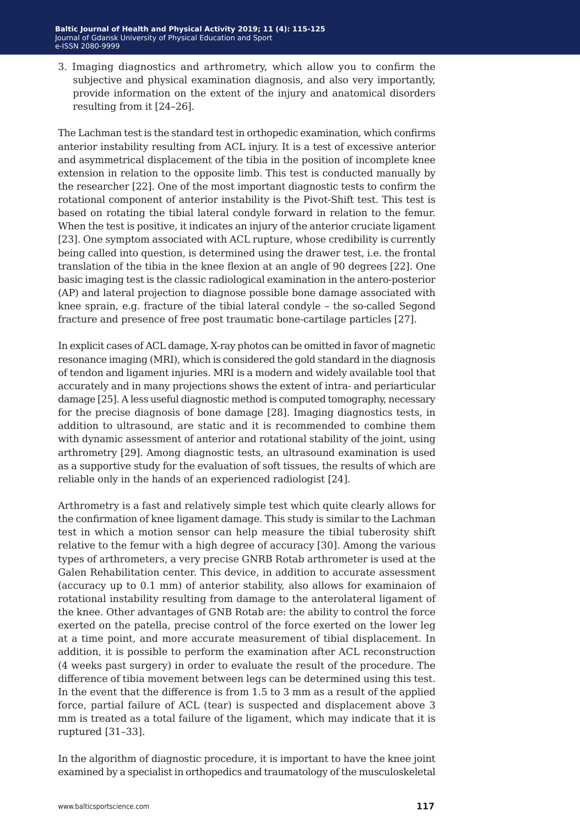3. Imaging diagnostics and arthrometry, which allow you to confirm the subjective and physical examination diagnosis, and also very importantly, provide information on the extent of the injury and anatomical disorders resulting from it [24–26].

The Lachman test is the standard test in orthopedic examination, which confirms anterior instability resulting from ACL injury. It is a test of excessive anterior and asymmetrical displacement of the tibia in the position of incomplete knee extension in relation to the opposite limb. This test is conducted manually by the researcher [22]. One of the most important diagnostic tests to confirm the rotational component of anterior instability is the Pivot-Shift test. This test is based on rotating the tibial lateral condyle forward in relation to the femur. When the test is positive, it indicates an injury of the anterior cruciate ligament [23]. One symptom associated with ACL rupture, whose credibility is currently being called into question, is determined using the drawer test, i.e. the frontal translation of the tibia in the knee flexion at an angle of 90 degrees [22]. One basic imaging test is the classic radiological examination in the antero-posterior (AP) and lateral projection to diagnose possible bone damage associated with knee sprain, e.g. fracture of the tibial lateral condyle – the so-called Segond fracture and presence of free post traumatic bone-cartilage particles [27].

In explicit cases of ACL damage, X-ray photos can be omitted in favor of magnetic resonance imaging (MRI), which is considered the gold standard in the diagnosis of tendon and ligament injuries. MRI is a modern and widely available tool that accurately and in many projections shows the extent of intra- and periarticular damage [25]. A less useful diagnostic method is computed tomography, necessary for the precise diagnosis of bone damage [28]. Imaging diagnostics tests, in addition to ultrasound, are static and it is recommended to combine them with dynamic assessment of anterior and rotational stability of the joint, using arthrometry [29]. Among diagnostic tests, an ultrasound examination is used as a supportive study for the evaluation of soft tissues, the results of which are reliable only in the hands of an experienced radiologist [24].

Arthrometry is a fast and relatively simple test which quite clearly allows for the confirmation of knee ligament damage. This study is similar to the Lachman test in which a motion sensor can help measure the tibial tuberosity shift relative to the femur with a high degree of accuracy [30]. Among the various types of arthrometers, a very precise GNRB Rotab arthrometer is used at the Galen Rehabilitation center. This device, in addition to accurate assessment (accuracy up to 0.1 mm) of anterior stability, also allows for examinaion of rotational instability resulting from damage to the anterolateral ligament of the knee. Other advantages of GNB Rotab are: the ability to control the force exerted on the patella, precise control of the force exerted on the lower leg at a time point, and more accurate measurement of tibial displacement. In addition, it is possible to perform the examination after ACL reconstruction (4 weeks past surgery) in order to evaluate the result of the procedure. The difference of tibia movement between legs can be determined using this test. In the event that the difference is from 1.5 to 3 mm as a result of the applied force, partial failure of ACL (tear) is suspected and displacement above 3 mm is treated as a total failure of the ligament, which may indicate that it is ruptured [31–33].

In the algorithm of diagnostic procedure, it is important to have the knee joint examined by a specialist in orthopedics and traumatology of the musculoskeletal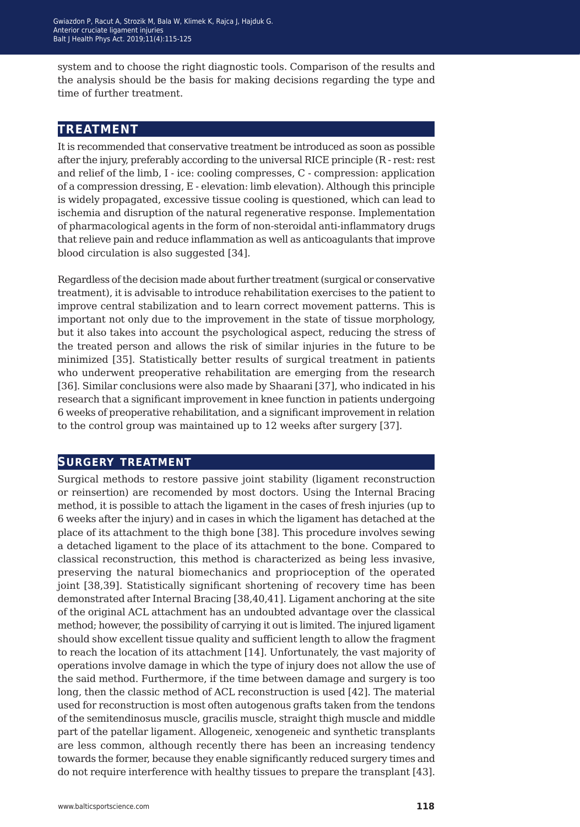system and to choose the right diagnostic tools. Comparison of the results and the analysis should be the basis for making decisions regarding the type and time of further treatment.

### **treatment**

It is recommended that conservative treatment be introduced as soon as possible after the injury, preferably according to the universal RICE principle (R - rest: rest and relief of the limb, I - ice: cooling compresses, C - compression: application of a compression dressing, E - elevation: limb elevation). Although this principle is widely propagated, excessive tissue cooling is questioned, which can lead to ischemia and disruption of the natural regenerative response. Implementation of pharmacological agents in the form of non-steroidal anti-inflammatory drugs that relieve pain and reduce inflammation as well as anticoagulants that improve blood circulation is also suggested [34].

Regardless of the decision made about further treatment (surgical or conservative treatment), it is advisable to introduce rehabilitation exercises to the patient to improve central stabilization and to learn correct movement patterns. This is important not only due to the improvement in the state of tissue morphology, but it also takes into account the psychological aspect, reducing the stress of the treated person and allows the risk of similar injuries in the future to be minimized [35]. Statistically better results of surgical treatment in patients who underwent preoperative rehabilitation are emerging from the research [36]. Similar conclusions were also made by Shaarani [37], who indicated in his research that a significant improvement in knee function in patients undergoing 6 weeks of preoperative rehabilitation, and a significant improvement in relation to the control group was maintained up to 12 weeks after surgery [37].

#### **surgery treatment**

Surgical methods to restore passive joint stability (ligament reconstruction or reinsertion) are recomended by most doctors. Using the Internal Bracing method, it is possible to attach the ligament in the cases of fresh injuries (up to 6 weeks after the injury) and in cases in which the ligament has detached at the place of its attachment to the thigh bone [38]. This procedure involves sewing a detached ligament to the place of its attachment to the bone. Compared to classical reconstruction, this method is characterized as being less invasive, preserving the natural biomechanics and proprioception of the operated joint [38,39]. Statistically significant shortening of recovery time has been demonstrated after Internal Bracing [38,40,41]. Ligament anchoring at the site of the original ACL attachment has an undoubted advantage over the classical method; however, the possibility of carrying it out is limited. The injured ligament should show excellent tissue quality and sufficient length to allow the fragment to reach the location of its attachment [14]. Unfortunately, the vast majority of operations involve damage in which the type of injury does not allow the use of the said method. Furthermore, if the time between damage and surgery is too long, then the classic method of ACL reconstruction is used [42]. The material used for reconstruction is most often autogenous grafts taken from the tendons of the semitendinosus muscle, gracilis muscle, straight thigh muscle and middle part of the patellar ligament. Allogeneic, xenogeneic and synthetic transplants are less common, although recently there has been an increasing tendency towards the former, because they enable significantly reduced surgery times and do not require interference with healthy tissues to prepare the transplant [43].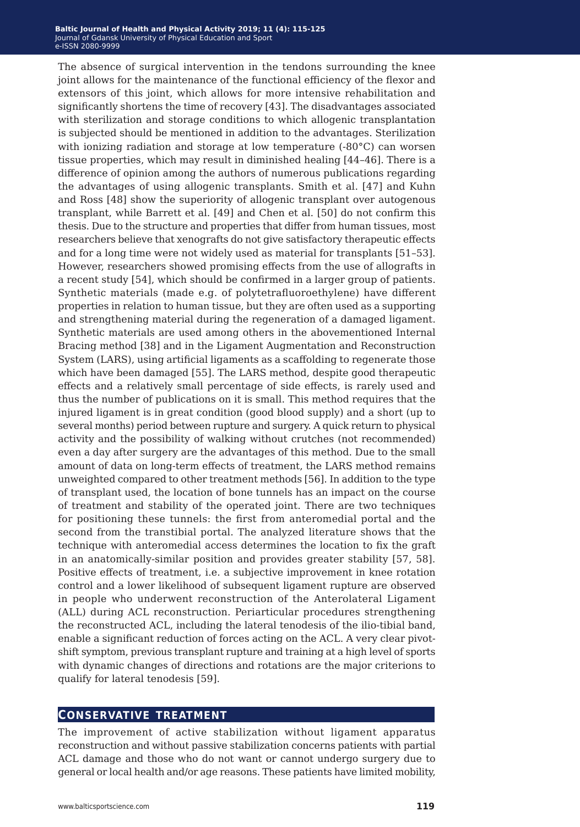The absence of surgical intervention in the tendons surrounding the knee joint allows for the maintenance of the functional efficiency of the flexor and extensors of this joint, which allows for more intensive rehabilitation and significantly shortens the time of recovery [43]. The disadvantages associated with sterilization and storage conditions to which allogenic transplantation is subjected should be mentioned in addition to the advantages. Sterilization with ionizing radiation and storage at low temperature (-80°C) can worsen tissue properties, which may result in diminished healing [44–46]. There is a difference of opinion among the authors of numerous publications regarding the advantages of using allogenic transplants. Smith et al. [47] and Kuhn and Ross [48] show the superiority of allogenic transplant over autogenous transplant, while Barrett et al. [49] and Chen et al. [50] do not confirm this thesis. Due to the structure and properties that differ from human tissues, most researchers believe that xenografts do not give satisfactory therapeutic effects and for a long time were not widely used as material for transplants [51–53]. However, researchers showed promising effects from the use of allografts in a recent study [54], which should be confirmed in a larger group of patients. Synthetic materials (made e.g. of polytetrafluoroethylene) have different properties in relation to human tissue, but they are often used as a supporting and strengthening material during the regeneration of a damaged ligament. Synthetic materials are used among others in the abovementioned Internal Bracing method [38] and in the Ligament Augmentation and Reconstruction System (LARS), using artificial ligaments as a scaffolding to regenerate those which have been damaged [55]. The LARS method, despite good therapeutic effects and a relatively small percentage of side effects, is rarely used and thus the number of publications on it is small. This method requires that the injured ligament is in great condition (good blood supply) and a short (up to several months) period between rupture and surgery. A quick return to physical activity and the possibility of walking without crutches (not recommended) even a day after surgery are the advantages of this method. Due to the small amount of data on long-term effects of treatment, the LARS method remains unweighted compared to other treatment methods [56]. In addition to the type of transplant used, the location of bone tunnels has an impact on the course of treatment and stability of the operated joint. There are two techniques for positioning these tunnels: the first from anteromedial portal and the second from the transtibial portal. The analyzed literature shows that the technique with anteromedial access determines the location to fix the graft in an anatomically-similar position and provides greater stability [57, 58]. Positive effects of treatment, i.e. a subjective improvement in knee rotation control and a lower likelihood of subsequent ligament rupture are observed in people who underwent reconstruction of the Anterolateral Ligament (ALL) during ACL reconstruction. Periarticular procedures strengthening the reconstructed ACL, including the lateral tenodesis of the ilio-tibial band, enable a significant reduction of forces acting on the ACL. A very clear pivotshift symptom, previous transplant rupture and training at a high level of sports with dynamic changes of directions and rotations are the major criterions to qualify for lateral tenodesis [59].

#### **conservative treatment**

The improvement of active stabilization without ligament apparatus reconstruction and without passive stabilization concerns patients with partial ACL damage and those who do not want or cannot undergo surgery due to general or local health and/or age reasons. These patients have limited mobility,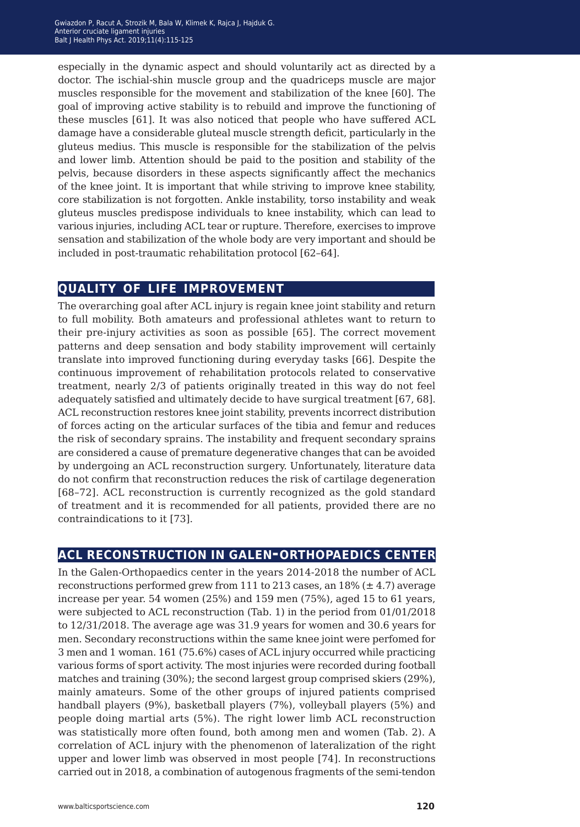especially in the dynamic aspect and should voluntarily act as directed by a doctor. The ischial-shin muscle group and the quadriceps muscle are major muscles responsible for the movement and stabilization of the knee [60]. The goal of improving active stability is to rebuild and improve the functioning of these muscles [61]. It was also noticed that people who have suffered ACL damage have a considerable gluteal muscle strength deficit, particularly in the gluteus medius. This muscle is responsible for the stabilization of the pelvis and lower limb. Attention should be paid to the position and stability of the pelvis, because disorders in these aspects significantly affect the mechanics of the knee joint. It is important that while striving to improve knee stability, core stabilization is not forgotten. Ankle instability, torso instability and weak gluteus muscles predispose individuals to knee instability, which can lead to various injuries, including ACL tear or rupture. Therefore, exercises to improve sensation and stabilization of the whole body are very important and should be included in post-traumatic rehabilitation protocol [62–64].

### **quality of life improvement**

The overarching goal after ACL injury is regain knee joint stability and return to full mobility. Both amateurs and professional athletes want to return to their pre-injury activities as soon as possible [65]. The correct movement patterns and deep sensation and body stability improvement will certainly translate into improved functioning during everyday tasks [66]. Despite the continuous improvement of rehabilitation protocols related to conservative treatment, nearly 2/3 of patients originally treated in this way do not feel adequately satisfied and ultimately decide to have surgical treatment [67, 68]. ACL reconstruction restores knee joint stability, prevents incorrect distribution of forces acting on the articular surfaces of the tibia and femur and reduces the risk of secondary sprains. The instability and frequent secondary sprains are considered a cause of premature degenerative changes that can be avoided by undergoing an ACL reconstruction surgery. Unfortunately, literature data do not confirm that reconstruction reduces the risk of cartilage degeneration [68–72]. ACL reconstruction is currently recognized as the gold standard of treatment and it is recommended for all patients, provided there are no contraindications to it [73].

## **acl reconstruction in galen-orthopaedics center**

In the Galen-Orthopaedics center in the years 2014-2018 the number of ACL reconstructions performed grew from 111 to 213 cases, an  $18\%$  ( $\pm$  4.7) average increase per year. 54 women (25%) and 159 men (75%), aged 15 to 61 years, were subjected to ACL reconstruction (Tab. 1) in the period from 01/01/2018 to 12/31/2018. The average age was 31.9 years for women and 30.6 years for men. Secondary reconstructions within the same knee joint were perfomed for 3 men and 1 woman. 161 (75.6%) cases of ACL injury occurred while practicing various forms of sport activity. The most injuries were recorded during football matches and training (30%); the second largest group comprised skiers (29%), mainly amateurs. Some of the other groups of injured patients comprised handball players (9%), basketball players (7%), volleyball players (5%) and people doing martial arts (5%). The right lower limb ACL reconstruction was statistically more often found, both among men and women (Tab. 2). A correlation of ACL injury with the phenomenon of lateralization of the right upper and lower limb was observed in most people [74]. In reconstructions carried out in 2018, a combination of autogenous fragments of the semi-tendon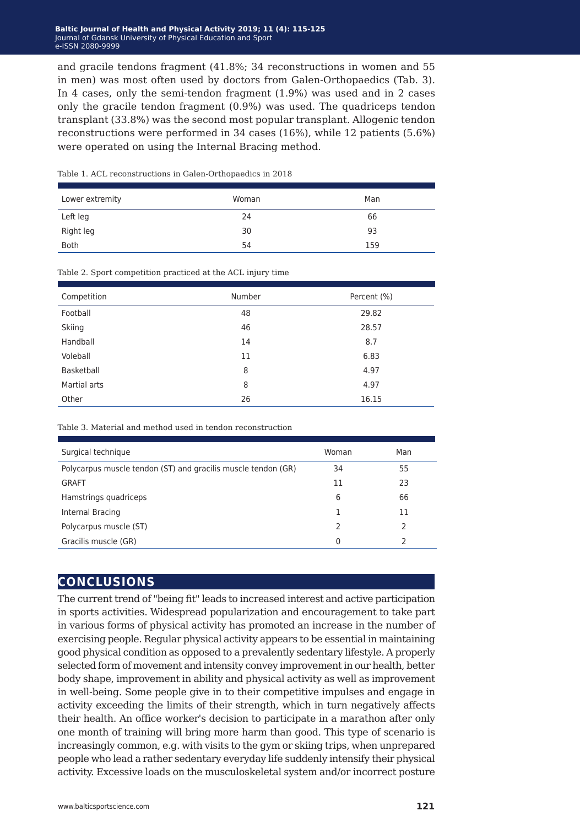and gracile tendons fragment (41.8%; 34 reconstructions in women and 55 in men) was most often used by doctors from Galen-Orthopaedics (Tab. 3). In 4 cases, only the semi-tendon fragment (1.9%) was used and in 2 cases only the gracile tendon fragment (0.9%) was used. The quadriceps tendon transplant (33.8%) was the second most popular transplant. Allogenic tendon reconstructions were performed in 34 cases (16%), while 12 patients (5.6%) were operated on using the Internal Bracing method.

| Lower extremity | Woman | Man |
|-----------------|-------|-----|
| Left leg        | 24    | 66  |
| Right leg       | 30    | 93  |
| <b>Both</b>     | 54    | 159 |
|                 |       |     |

#### Table 1. ACL reconstructions in Galen-Orthopaedics in 2018

Table 2. Sport competition practiced at the ACL injury time

| Competition  | Number | Percent (%) |
|--------------|--------|-------------|
| Football     | 48     | 29.82       |
| Skiing       | 46     | 28.57       |
| Handball     | 14     | 8.7         |
| Voleball     | 11     | 6.83        |
| Basketball   | 8      | 4.97        |
| Martial arts | 8      | 4.97        |
| Other        | 26     | 16.15       |

Table 3. Material and method used in tendon reconstruction

| Surgical technique                                            | Woman         | Man           |
|---------------------------------------------------------------|---------------|---------------|
| Polycarpus muscle tendon (ST) and gracilis muscle tendon (GR) | 34            | 55            |
| <b>GRAFT</b>                                                  | 11            | 23            |
| Hamstrings quadriceps                                         | 6             | 66            |
| Internal Bracing                                              |               | 11            |
| Polycarpus muscle (ST)                                        | $\mathcal{P}$ | $\mathcal{P}$ |
| Gracilis muscle (GR)                                          | $\Omega$      | っ             |

#### **conclusions**

The current trend of "being fit" leads to increased interest and active participation in sports activities. Widespread popularization and encouragement to take part in various forms of physical activity has promoted an increase in the number of exercising people. Regular physical activity appears to be essential in maintaining good physical condition as opposed to a prevalently sedentary lifestyle. A properly selected form of movement and intensity convey improvement in our health, better body shape, improvement in ability and physical activity as well as improvement in well-being. Some people give in to their competitive impulses and engage in activity exceeding the limits of their strength, which in turn negatively affects their health. An office worker's decision to participate in a marathon after only one month of training will bring more harm than good. This type of scenario is increasingly common, e.g. with visits to the gym or skiing trips, when unprepared people who lead a rather sedentary everyday life suddenly intensify their physical activity. Excessive loads on the musculoskeletal system and/or incorrect posture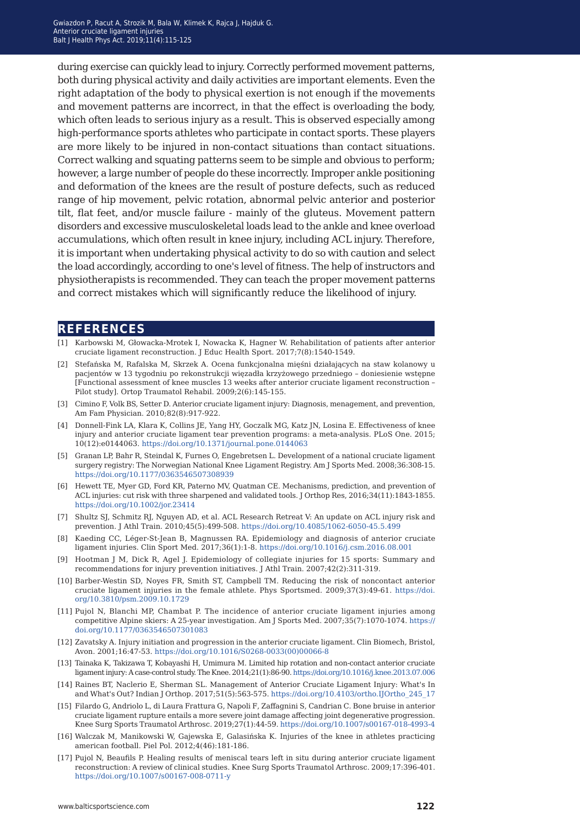during exercise can quickly lead to injury. Correctly performed movement patterns, both during physical activity and daily activities are important elements. Even the right adaptation of the body to physical exertion is not enough if the movements and movement patterns are incorrect, in that the effect is overloading the body, which often leads to serious injury as a result. This is observed especially among high-performance sports athletes who participate in contact sports. These players are more likely to be injured in non-contact situations than contact situations. Correct walking and squating patterns seem to be simple and obvious to perform; however, a large number of people do these incorrectly. Improper ankle positioning and deformation of the knees are the result of posture defects, such as reduced range of hip movement, pelvic rotation, abnormal pelvic anterior and posterior tilt, flat feet, and/or muscle failure - mainly of the gluteus. Movement pattern disorders and excessive musculoskeletal loads lead to the ankle and knee overload accumulations, which often result in knee injury, including ACL injury. Therefore, it is important when undertaking physical activity to do so with caution and select the load accordingly, according to one's level of fitness. The help of instructors and physiotherapists is recommended. They can teach the proper movement patterns and correct mistakes which will significantly reduce the likelihood of injury.

#### **references**

- [1] Karbowski M, Głowacka-Mrotek I, Nowacka K, Hagner W. Rehabilitation of patients after anterior cruciate ligament reconstruction. J Educ Health Sport. 2017;7(8):1540-1549.
- [2] Stefańska M, Rafalska M, Skrzek A. Ocena funkcjonalna mięśni działających na staw kolanowy u pacjentów w 13 tygodniu po rekonstrukcji więzadła krzyżowego przedniego – doniesienie wstępne [Functional assessment of knee muscles 13 weeks after anterior cruciate ligament reconstruction – Pilot study]. Ortop Traumatol Rehabil. 2009;2(6):145-155.
- [3] Cimino F, Volk BS, Setter D. Anterior cruciate ligament injury: Diagnosis, menagement, and prevention, Am Fam Physician. 2010;82(8):917-922.
- [4] Donnell-Fink LA, Klara K, Collins JE, Yang HY, Goczalk MG, Katz JN, Losina E. Effectiveness of knee injury and anterior cruciate ligament tear prevention programs: a meta-analysis. PLoS One. 2015; 10(12):e0144063. <https://doi.org/10.1371/journal.pone.0144063>
- [5] Granan LP, Bahr R, Steindal K, Furnes O, Engebretsen L. Development of a national cruciate ligament surgery registry: The Norwegian National Knee Ligament Registry. Am J Sports Med. 2008;36:308-15. <https://doi.org/10.1177/0363546507308939>
- [6] Hewett TE, Myer GD, Ford KR, Paterno MV, Quatman CE. Mechanisms, prediction, and prevention of ACL injuries: cut risk with three sharpened and validated tools. J Orthop Res, 2016;34(11):1843-1855. <https://doi.org/10.1002/jor.23414>
- [7] Shultz SJ, Schmitz RJ, Nguyen AD, et al. ACL Research Retreat V: An update on ACL injury risk and prevention. J Athl Train. 2010;45(5):499-508.<https://doi.org/10.4085/1062-6050-45.5.499>
- [8] Kaeding CC, Léger-St-Jean B, Magnussen RA. Epidemiology and diagnosis of anterior cruciate ligament injuries. Clin Sport Med. 2017;36(1):1-8. <https://doi.org/10.1016/j.csm.2016.08.001>
- [9] Hootman J M, Dick R, Agel J. Epidemiology of collegiate injuries for 15 sports: Summary and recommendations for injury prevention initiatives. J Athl Train. 2007;42(2):311-319.
- [10] Barber-Westin SD, Noyes FR, Smith ST, Campbell TM. Reducing the risk of noncontact anterior cruciate ligament injuries in the female athlete. Phys Sportsmed. 2009;37(3):49-61. [https://doi.](https://doi.org/10.3810/psm.2009.10.1729
) [org/10.3810/psm.2009.10.1729](https://doi.org/10.3810/psm.2009.10.1729
)
- [11] Pujol N, Blanchi MP, Chambat P. The incidence of anterior cruciate ligament injuries among competitive Alpine skiers: A 25-year investigation. Am J Sports Med. 2007;35(7):1070-1074. [https://](https://doi.org/10.1177/0363546507301083) [doi.org/10.1177/0363546507301083](https://doi.org/10.1177/0363546507301083)
- [12] Zavatsky A. Injury initiation and progression in the anterior cruciate ligament. Clin Biomech, Bristol, Avon. 2001;16:47-53. [https://doi.org/10.1016/S0268-0033\(00\)00066-8](https://doi.org/10.1016/S0268-0033(00)00066-8)
- [13] Tainaka K, Takizawa T, Kobayashi H, Umimura M. Limited hip rotation and non-contact anterior cruciate ligament injury: A case-control study. The Knee. 2014;21(1):86-90. [https://doi.org/10.1016/j.knee.2013.07.006](https://doi.org/10.1016/j.knee.2013.07.006
)
- [14] Raines BT, Naclerio E, Sherman SL. Management of Anterior Cruciate Ligament Injury: What's In and What's Out? Indian J Orthop. 2017;51(5):563-575. [https://doi.org/10.4103/ortho.IJOrtho\\_245\\_17](https://doi.org/10.4103/ortho.IJOrtho_245_17)
- [15] Filardo G, Andriolo L, di Laura Frattura G, Napoli F, Zaffagnini S, Candrian C. Bone bruise in anterior cruciate ligament rupture entails a more severe joint damage affecting joint degenerative progression. Knee Surg Sports Traumatol Arthrosc. 2019;27(1):44-59. [https://doi.org/10.1007/s00167-018-4993-4](https://doi.org/10.1007/s00167-018-4993-4 
)
- [16] Walczak M, Manikowski W, Gajewska E, Galasińska K. Injuries of the knee in athletes practicing american football. Piel Pol. 2012;4(46):181-186.
- [17] Pujol N, Beaufils P. Healing results of meniscal tears left in situ during anterior cruciate ligament reconstruction: A review of clinical studies. Knee Surg Sports Traumatol Arthrosc. 2009;17:396-401. <https://doi.org/10.1007/s00167-008-0711-y>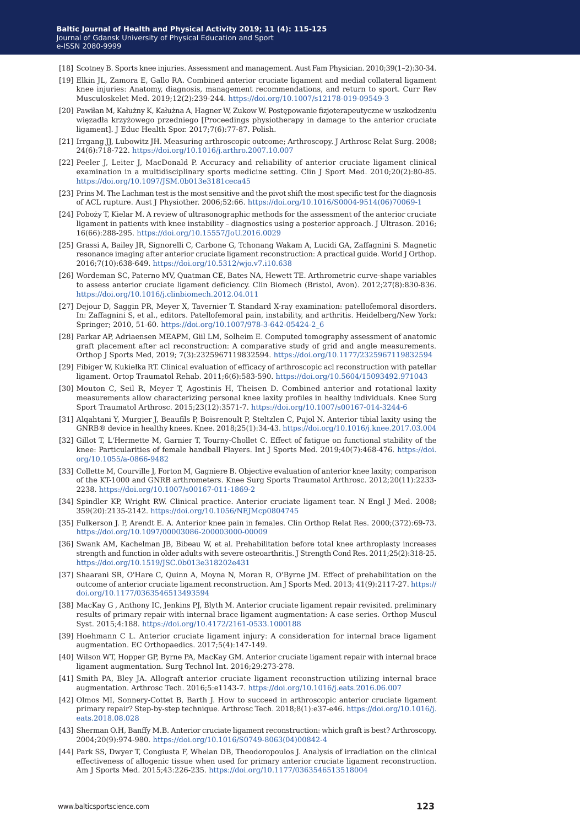- [18] Scotney B. Sports knee injuries. Assessment and management. Aust Fam Physician. 2010;39(1–2):30-34.
- [19] Elkin JL, Zamora E, Gallo RA. Combined anterior cruciate ligament and medial collateral ligament knee injuries: Anatomy, diagnosis, management recommendations, and return to sport. Curr Rev Musculoskelet Med. 2019;12(2):239-244.<https://doi.org/10.1007/s12178-019-09549-3>
- [20] Pawiłan M, Kałużny K, Kałużna A, Hagner W, Zukow W. Postępowanie fizjoterapeutyczne w uszkodzeniu więzadła krzyżowego przedniego [Proceedings physiotherapy in damage to the anterior cruciate ligament]. J Educ Health Spor. 2017;7(6):77-87. Polish.
- [21] Irrgang JJ, Lubowitz JH. Measuring arthroscopic outcome; Arthroscopy. J Arthrosc Relat Surg. 2008; 24(6):718-722.<https://doi.org/10.1016/j.arthro.2007.10.007>
- [22] Peeler J, Leiter J, MacDonald P. Accuracy and reliability of anterior cruciate ligament clinical examination in a multidisciplinary sports medicine setting. Clin J Sport Med. 2010;20(2):80-85. <https://doi.org/10.1097/JSM.0b013e3181ceca45>
- [23] Prins M. The Lachman test is the most sensitive and the pivot shift the most specific test for the diagnosis of ACL rupture. Aust J Physiother. 2006;52:66. [https://doi.org/10.1016/S0004-9514\(06\)70069-1](https://doi.org/10.1016/S0004-9514(06)70069-1)
- [24] Poboży T, Kielar M. A review of ultrasonographic methods for the assessment of the anterior cruciate ligament in patients with knee instability – diagnostics using a posterior approach. J Ultrason. 2016; 16(66):288-295. <https://doi.org/10.15557/JoU.2016.0029>
- [25] Grassi A, Bailey JR, Signorelli C, Carbone G, Tchonang Wakam A, Lucidi GA, Zaffagnini S. Magnetic resonance imaging after anterior cruciate ligament reconstruction: A practical guide. World J Orthop. 2016;7(10):638-649. [https://doi.org/10.5312/wjo.v7.i10.638](https://doi.org/10.5312/wjo.v7.i10.638
)
- [26] Wordeman SC, Paterno MV, Quatman CE, Bates NA, Hewett TE. Arthrometric curve-shape variables to assess anterior cruciate ligament deficiency. Clin Biomech (Bristol, Avon). 2012;27(8):830-836. <https://doi.org/10.1016/j.clinbiomech.2012.04.011>
- [27] Dejour D, Saggin PR, Meyer X, Tavernier T. Standard X-ray examination: patellofemoral disorders. In: Zaffagnini S, et al., editors. Patellofemoral pain, instability, and arthritis. Heidelberg/New York: Springer; 2010, 51-60. [https://doi.org/10.1007/978-3-642-05424-2\\_6](https://doi.org/10.1007/978-3-642-05424-2_6)
- [28] Parkar AP, Adriaensen MEAPM, Giil LM, Solheim E. Computed tomography assessment of anatomic graft placement after acl reconstruction: A comparative study of grid and angle measurements. Orthop J Sports Med, 2019; 7(3):2325967119832594. [https://doi.org/10.1177/2325967119832594](https://doi.org/10.1177/2325967119832594
)
- [29] Fibiger W, Kukiełka RT. Clinical evaluation of efficacy of arthroscopic acl reconstruction with patellar ligament. Ortop Traumatol Rehab. 2011;6(6):583-590. [https://doi.org/10.5604/15093492.971043](https://doi.org/10.5604/15093492.971043
)
- [30] Mouton C, Seil R, Meyer T, Agostinis H, Theisen D. Combined anterior and rotational laxity measurements allow characterizing personal knee laxity profiles in healthy individuals. Knee Surg Sport Traumatol Arthrosc. 2015;23(12):3571-7. [https://doi.org/10.1007/s00167-014-3244-6](https://doi.org/10.1007/s00167-014-3244-6
)
- [31] Alqahtani Y, Murgier J, Beaufils P, Boisrenoult P, Steltzlen C, Pujol N. Anterior tibial laxity using the GNRB® device in healthy knees. Knee. 2018;25(1):34-43. [https://doi.org/10.1016/j.knee.2017.03.004](https://doi.org/10.1016/j.knee.2017.03.004
)
- [32] Gillot T, L'Hermette M, Garnier T, Tourny-Chollet C. Effect of fatigue on functional stability of the knee: Particularities of female handball Players. Int J Sports Med. 2019;40(7):468-476. [https://doi.](https://doi.org/10.1055/a-0866-9482
) [org/10.1055/a-0866-9482](https://doi.org/10.1055/a-0866-9482
)
- [33] Collette M, Courville J, Forton M, Gagniere B. Objective evaluation of anterior knee laxity; comparison of the KT-1000 and GNRB arthrometers. Knee Surg Sports Traumatol Arthrosc. 2012;20(11):2233- 2238. <https://doi.org/10.1007/s00167-011-1869-2>
- [34] Spindler KP, Wright RW. Clinical practice. Anterior cruciate ligament tear. N Engl J Med. 2008; 359(20):2135-2142.<https://doi.org/10.1056/NEJMcp0804745>
- [35] Fulkerson J. P, Arendt E. A. Anterior knee pain in females. Clin Orthop Relat Res. 2000;(372):69-73. <https://doi.org/10.1097/00003086-200003000-00009>
- [36] Swank AM, Kachelman JB, Bibeau W, et al. Prehabilitation before total knee arthroplasty increases strength and function in older adults with severe osteoarthritis. J Strength Cond Res. 2011;25(2):318-25. <https://doi.org/10.1519/JSC.0b013e318202e431>
- [37] Shaarani SR, O'Hare C, Quinn A, Moyna N, Moran R, O'Byrne JM. Effect of prehabilitation on the outcome of anterior cruciate ligament reconstruction. Am J Sports Med. 2013; 41(9):2117-27. [https://](https://doi.org/10.1177/0363546513493594) [doi.org/10.1177/0363546513493594](https://doi.org/10.1177/0363546513493594)
- [38] MacKay G , Anthony IC, Jenkins PJ, Blyth M. Anterior cruciate ligament repair revisited. preliminary results of primary repair with internal brace ligament augmentation: A case series. Orthop Muscul Syst. 2015;4:188. [https://doi.org/10.4172/2161-0533.1000188](https://doi.org/10.4172/2161-0533.1000188
)
- [39] Hoehmann C L. Anterior cruciate ligament injury: A consideration for internal brace ligament augmentation. EC Orthopaedics. 2017;5(4):147-149.
- [40] Wilson WT, Hopper GP, Byrne PA, MacKay GM. Anterior cruciate ligament repair with internal brace ligament augmentation. Surg Technol Int. 2016;29:273-278.
- [41] Smith PA, Bley JA. Allograft anterior cruciate ligament reconstruction utilizing internal brace augmentation. Arthrosc Tech. 2016;5:e1143-7. <https://doi.org/10.1016/j.eats.2016.06.007>
- [42] Olmos MI, Sonnery-Cottet B, Barth J. How to succeed in arthroscopic anterior cruciate ligament primary repair? Step-by-step technique. Arthrosc Tech. 2018;8(1):e37-e46. [https://doi.org/10.1016/j.](https://doi.org/10.1016/j.eats.2018.08.028
) [eats.2018.08.028](https://doi.org/10.1016/j.eats.2018.08.028
)
- [43] Sherman O.H, Banffy M.B. Anterior cruciate ligament reconstruction: which graft is best? Arthroscopy. 2004;20(9):974-980. [https://doi.org/10.1016/S0749-8063\(04\)00842-4](https://doi.org/10.1016/S0749-8063(04)00842-4)
- [44] Park SS, Dwyer T, Congiusta F, Whelan DB, Theodoropoulos J. Analysis of irradiation on the clinical effectiveness of allogenic tissue when used for primary anterior cruciate ligament reconstruction. Am J Sports Med. 2015;43:226-235.<https://doi.org/10.1177/0363546513518004>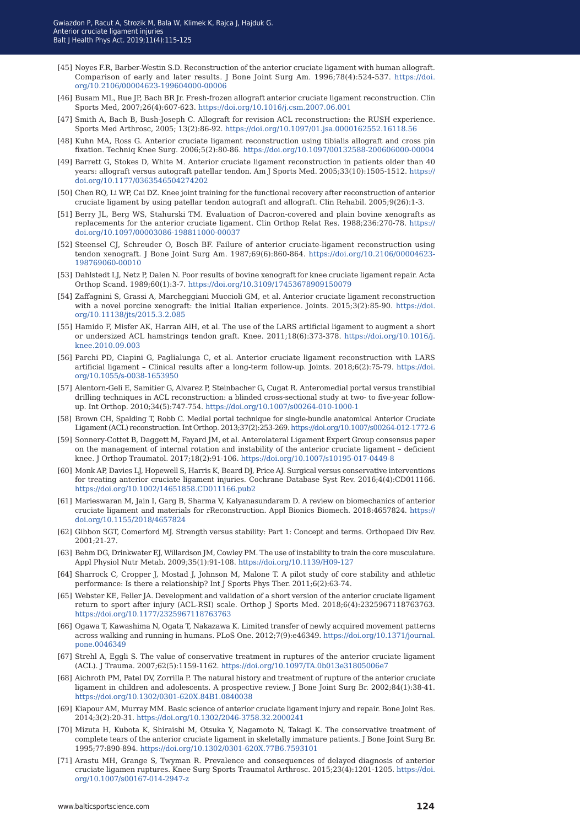- [45] Noyes F.R, Barber-Westin S.D. Reconstruction of the anterior cruciate ligament with human allograft. Comparison of early and later results. J Bone Joint Surg Am. 1996;78(4):524-537. https://doi. org/10.2106/00004623-199604000-00006
- [46] Busam ML, Rue JP, Bach BR Jr. Fresh-frozen allograft anterior cruciate ligament reconstruction. Clin Sports Med, 2007;26(4):607-623. <https://doi.org/10.1016/j.csm.2007.06.001>
- [47] Smith A, Bach B, Bush-Joseph C. Allograft for revision ACL reconstruction: the RUSH experience. Sports Med Arthrosc, 2005; 13(2):86-92.<https://doi.org/10.1097/01.jsa.0000162552.16118.56>
- [48] Kuhn MA, Ross G. Anterior cruciate ligament reconstruction using tibialis allograft and cross pin fixation. Techniq Knee Surg. 2006;5(2):80-86. [https://doi.org/10.1097/00132588-200606000-00004](https://doi.org/10.1097/00132588-200606000-00004
)
- [49] Barrett G, Stokes D, White M. Anterior cruciate ligament reconstruction in patients older than 40 years: allograft versus autograft patellar tendon. Am J Sports Med. 2005;33(10):1505-1512. [https://](https://doi.org/10.1177/0363546504274202
) [doi.org/10.1177/0363546504274202](https://doi.org/10.1177/0363546504274202
)
- [50] Chen RQ, Li WP, Cai DZ. Knee joint training for the functional recovery after reconstruction of anterior cruciate ligament by using patellar tendon autograft and allograft. Clin Rehabil. 2005;9(26):1-3.
- [51] Berry JL, Berg WS, Stahurski TM. Evaluation of Dacron-covered and plain bovine xenografts as replacements for the anterior cruciate ligament. Clin Orthop Relat Res. 1988;236:270-78. [https://](https://doi.org/10.1097/00003086-198811000-00037
) [doi.org/10.1097/00003086-198811000-00037](https://doi.org/10.1097/00003086-198811000-00037
)
- [52] Steensel CJ, Schreuder O, Bosch BF. Failure of anterior cruciate-ligament reconstruction using tendon xenograft. J Bone Joint Surg Am. 1987;69(6):860-864. [https://doi.org/10.2106/00004623-](https://doi.org/10.2106/00004623-198769060-00010
) [198769060-00010](https://doi.org/10.2106/00004623-198769060-00010
)
- [53] Dahlstedt LJ, Netz P, Dalen N. Poor results of bovine xenograft for knee cruciate ligament repair. Acta Orthop Scand. 1989;60(1):3-7. [https://doi.org/10.3109/17453678909150079](https://doi.org/10.3109/17453678909150079
)
- [54] Zaffagnini S, Grassi A, Marcheggiani Muccioli GM, et al. Anterior cruciate ligament reconstruction with a novel porcine xenograft: the initial Italian experience. Joints. 2015;3(2):85-90. [https://doi.](https://doi.org/10.11138/jts/2015.3.2.085) [org/10.11138/jts/2015.3.2.085](https://doi.org/10.11138/jts/2015.3.2.085)
- [55] Hamido F, Misfer AK, Harran AlH, et al. The use of the LARS artificial ligament to augment a short or undersized ACL hamstrings tendon graft. Knee. 2011;18(6):373-378. [https://doi.org/10.1016/j.](https://doi.org/10.1016/j.knee.2010.09.003
) [knee.2010.09.003](https://doi.org/10.1016/j.knee.2010.09.003
)
- [56] [Parchi PD, Ciapini G, Paglialunga C, et al. Anterior cruciate ligament reconstruction with LARS](https://doi.org/10.1016/j.knee.2010.09.003
)  [artificial ligament – Clinical results after a long-term follow-up. Joints. 2018;6\(2\):75-79.](https://doi.org/10.1016/j.knee.2010.09.003
) https://doi. [org/10.1055/s-0038-1653950](https://doi.org/10.1016/j.knee.2010.09.003
)
- [57] [Alentorn-Geli E, Samitier G, Alvarez P, Steinbacher G, Cugat R. Anteromedial portal versus transtibial](https://doi.org/10.1016/j.knee.2010.09.003
)  [drilling techniques in ACL reconstruction: a blinded cross-sectional study at two- to five-year follow](https://doi.org/10.1016/j.knee.2010.09.003
)[up. Int Orthop. 2010;34\(5\):747-754. https://doi.org/10.1007/s00264-010-1000-1](https://doi.org/10.1016/j.knee.2010.09.003
)
- [58] [Brown CH, Spalding T, Robb C. Medial portal technique for single-bundle anatomical Anterior Cruciate](https://doi.org/10.1016/j.knee.2010.09.003
)  [Ligament \(ACL\) reconstruction. Int Orthop. 2013;37\(2\):253-269. https://doi.org/10.1007/s00264-012-1772-6](https://doi.org/10.1016/j.knee.2010.09.003
)
- [59] [Sonnery-Cottet B, Daggett M, Fayard JM, et al. Anterolateral Ligament Expert Group consensus paper](https://doi.org/10.1016/j.knee.2010.09.003
)  [on the management of internal rotation and instability of the anterior cruciate ligament – deficient](https://doi.org/10.1016/j.knee.2010.09.003
)  [knee. J Orthop Traumatol. 2017;18\(2\):91-106. https://doi.org/10.1007/s10195-017-0449-8](https://doi.org/10.1016/j.knee.2010.09.003
)
- [60] [Monk AP, Davies LJ, Hopewell S, Harris K, Beard DJ, Price AJ. Surgical versus conservative interventions](https://doi.org/10.1016/j.knee.2010.09.003
)  [for treating anterior cruciate ligament injuries. Cochrane Database Syst Rev. 2016;4\(4\):CD011166.](https://doi.org/10.1016/j.knee.2010.09.003
)  [https://doi.org/10.1002/14651858.CD011166.pub2](https://doi.org/10.1016/j.knee.2010.09.003
)
- [61] [Marieswaran M, Jain I, Garg B, Sharma V, Kalyanasundaram D. A review on biomechanics of anterior](https://doi.org/10.1016/j.knee.2010.09.003
)  [cruciate ligament and materials for rReconstruction. Appl Bionics Biomech. 2018:4657824. https://](https://doi.org/10.1016/j.knee.2010.09.003
) [doi.org/10.1155/2018/4657824](https://doi.org/10.1016/j.knee.2010.09.003
)
- [62] [Gibbon SGT, Comerford MJ. Strength versus stability: Part 1: Concept and terms. Orthopaed Div Rev.](https://doi.org/10.1016/j.knee.2010.09.003
)  [2001;21-27.](https://doi.org/10.1016/j.knee.2010.09.003
)
- [63] [Behm DG, Drinkwater EJ, Willardson JM, Cowley PM. The use of instability to train the core musculature.](https://doi.org/10.1016/j.knee.2010.09.003
)  [Appl Physiol Nutr Metab. 2009;35\(1\):91-108. https://doi.org/10.1139/H09-127](https://doi.org/10.1016/j.knee.2010.09.003
)
- [64] [Sharrock C, Cropper J, Mostad J, Johnson M, Malone T. A pilot study of core stability and athletic](https://doi.org/10.1016/j.knee.2010.09.003
)  [performance: Is there a relationship? Int J Sports Phys Ther. 2011;6\(2\):63-74.](https://doi.org/10.1016/j.knee.2010.09.003
)
- [65] [Webster KE, Feller JA. Development and validation of a short version of the anterior cruciate ligament](https://doi.org/10.1016/j.knee.2010.09.003
)  [return to sport after injury \(ACL-RSI\) scale. Orthop J Sports Med. 2018;6\(4\):2325967118763763.](https://doi.org/10.1016/j.knee.2010.09.003
)  [https://doi.org/10.1177/2325967118763763](https://doi.org/10.1016/j.knee.2010.09.003
)
- [66] [Ogawa T, Kawashima N, Ogata T, Nakazawa K. Limited transfer of newly acquired movement patterns](https://doi.org/10.1016/j.knee.2010.09.003
)  [across walking and running in humans. PLoS One. 2012;7\(9\):e46349. https://doi.org/10.1371/journal.](https://doi.org/10.1016/j.knee.2010.09.003
) [pone.0046349](https://doi.org/10.1016/j.knee.2010.09.003
)
- [67] [Strehl A, Eggli S. The value of conservative treatment in ruptures of the anterior cruciate ligament](https://doi.org/10.1016/j.knee.2010.09.003
)  [\(ACL\). J Trauma. 2007;62\(5\):1159-1162. https://doi.org/10.1097/TA.0b013e31805006e7](https://doi.org/10.1016/j.knee.2010.09.003
)
- [68] [Aichroth PM, Patel DV, Zorrilla P. The natural history and treatment of rupture of the anterior cruciate](https://doi.org/10.1016/j.knee.2010.09.003
)  ligament in children and adolescents. A prospective review. J Bone Joint Surg Br. 2002;84(1):38-41. [https://doi.org/10.1302/0301-620X.84B1.0840038](https://doi.org/10.1016/j.knee.2010.09.003
)
- [69] [Kiapour AM, Murray MM. Basic science of anterior cruciate ligament injury and repair. Bone Joint Res.](https://doi.org/10.1016/j.knee.2010.09.003
)  [2014;3\(2\):20-31. https://doi.org/10.1302/2046-3758.32.2000241](https://doi.org/10.1016/j.knee.2010.09.003
)
- [70] [Mizuta H, Kubota K, Shiraishi M, Otsuka Y, Nagamoto N, Takagi K. The conservative treatment of](https://doi.org/10.1016/j.knee.2010.09.003
)  [complete tears of the anterior cruciate ligament in skeletally immature patients. J Bone Joint Surg Br.](https://doi.org/10.1016/j.knee.2010.09.003
)  [1995;77:890-894. https://doi.org/10.1302/0301-620X.77B6.7593101](https://doi.org/10.1016/j.knee.2010.09.003
)
- [71] [Arastu MH, Grange S, Twyman R. Prevalence and consequences of delayed diagnosis of anterior](https://doi.org/10.1016/j.knee.2010.09.003
)  [cruciate ligamen ruptures. Knee Surg Sports Traumatol Arthrosc. 2015;23\(4\):1201-1205. https://doi.](https://doi.org/10.1016/j.knee.2010.09.003
) [org/10.1007/s00167-014-2947-z](https://doi.org/10.1016/j.knee.2010.09.003
)